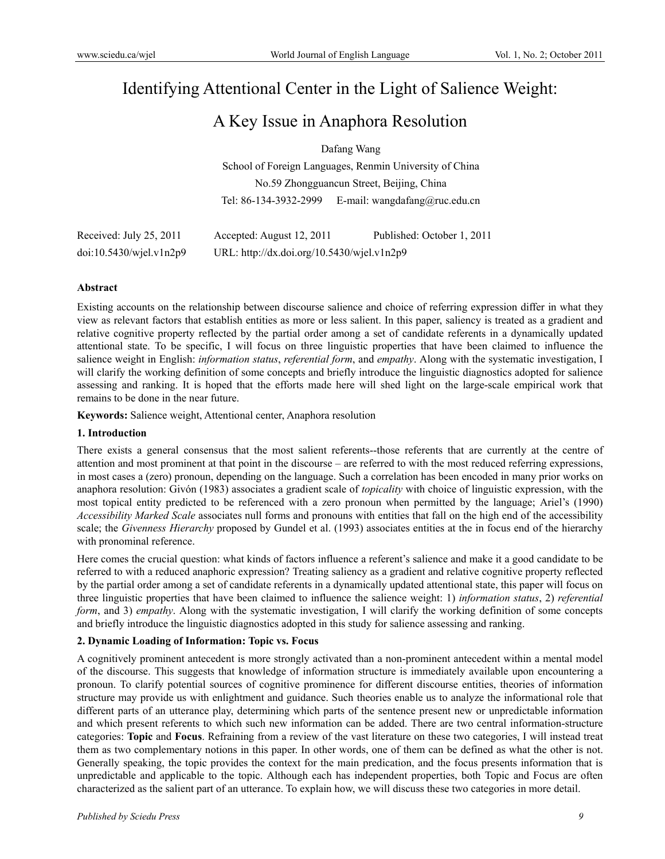# Identifying Attentional Center in the Light of Salience Weight:

## A Key Issue in Anaphora Resolution

Dafang Wang

School of Foreign Languages, Renmin University of China No.59 Zhongguancun Street, Beijing, China Tel: 86-134-3932-2999 E-mail: wangdafang@ruc.edu.cn

| Received: July 25, 2011       | Accepted: August 12, 2011                  | Published: October 1, 2011 |
|-------------------------------|--------------------------------------------|----------------------------|
| $doi:10.5430/w$ jel.v $1n2p9$ | URL: http://dx.doi.org/10.5430/wjel.v1n2p9 |                            |

## **Abstract**

Existing accounts on the relationship between discourse salience and choice of referring expression differ in what they view as relevant factors that establish entities as more or less salient. In this paper, saliency is treated as a gradient and relative cognitive property reflected by the partial order among a set of candidate referents in a dynamically updated attentional state. To be specific, I will focus on three linguistic properties that have been claimed to influence the salience weight in English: *information status*, *referential form*, and *empathy*. Along with the systematic investigation, I will clarify the working definition of some concepts and briefly introduce the linguistic diagnostics adopted for salience assessing and ranking. It is hoped that the efforts made here will shed light on the large-scale empirical work that remains to be done in the near future.

**Keywords:** Salience weight, Attentional center, Anaphora resolution

## **1. Introduction**

There exists a general consensus that the most salient referents--those referents that are currently at the centre of attention and most prominent at that point in the discourse – are referred to with the most reduced referring expressions, in most cases a (zero) pronoun, depending on the language. Such a correlation has been encoded in many prior works on anaphora resolution: Givón (1983) associates a gradient scale of *topicality* with choice of linguistic expression, with the most topical entity predicted to be referenced with a zero pronoun when permitted by the language; Ariel's (1990) *Accessibility Marked Scale* associates null forms and pronouns with entities that fall on the high end of the accessibility scale; the *Givenness Hierarchy* proposed by Gundel et al. (1993) associates entities at the in focus end of the hierarchy with pronominal reference.

Here comes the crucial question: what kinds of factors influence a referent's salience and make it a good candidate to be referred to with a reduced anaphoric expression? Treating saliency as a gradient and relative cognitive property reflected by the partial order among a set of candidate referents in a dynamically updated attentional state, this paper will focus on three linguistic properties that have been claimed to influence the salience weight: 1) *information status*, 2) *referential form*, and 3) *empathy*. Along with the systematic investigation, I will clarify the working definition of some concepts and briefly introduce the linguistic diagnostics adopted in this study for salience assessing and ranking.

## **2. Dynamic Loading of Information: Topic vs. Focus**

A cognitively prominent antecedent is more strongly activated than a non-prominent antecedent within a mental model of the discourse. This suggests that knowledge of information structure is immediately available upon encountering a pronoun. To clarify potential sources of cognitive prominence for different discourse entities, theories of information structure may provide us with enlightment and guidance. Such theories enable us to analyze the informational role that different parts of an utterance play, determining which parts of the sentence present new or unpredictable information and which present referents to which such new information can be added. There are two central information-structure categories: **Topic** and **Focus**. Refraining from a review of the vast literature on these two categories, I will instead treat them as two complementary notions in this paper. In other words, one of them can be defined as what the other is not. Generally speaking, the topic provides the context for the main predication, and the focus presents information that is unpredictable and applicable to the topic. Although each has independent properties, both Topic and Focus are often characterized as the salient part of an utterance. To explain how, we will discuss these two categories in more detail.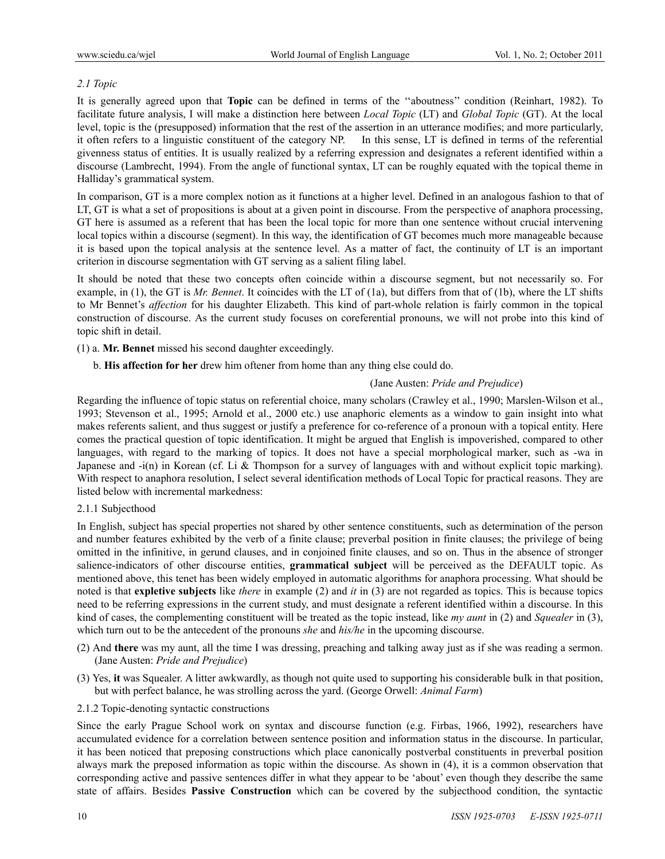## *2.1 Topic*

It is generally agreed upon that **Topic** can be defined in terms of the ''aboutness'' condition (Reinhart, 1982). To facilitate future analysis, I will make a distinction here between *Local Topic* (LT) and *Global Topic* (GT). At the local level, topic is the (presupposed) information that the rest of the assertion in an utterance modifies; and more particularly, it often refers to a linguistic constituent of the category NP. In this sense, LT is defined in terms of the referential givenness status of entities. It is usually realized by a referring expression and designates a referent identified within a discourse (Lambrecht, 1994). From the angle of functional syntax, LT can be roughly equated with the topical theme in Halliday's grammatical system.

In comparison, GT is a more complex notion as it functions at a higher level. Defined in an analogous fashion to that of LT, GT is what a set of propositions is about at a given point in discourse. From the perspective of anaphora processing, GT here is assumed as a referent that has been the local topic for more than one sentence without crucial intervening local topics within a discourse (segment). In this way, the identification of GT becomes much more manageable because it is based upon the topical analysis at the sentence level. As a matter of fact, the continuity of LT is an important criterion in discourse segmentation with GT serving as a salient filing label.

It should be noted that these two concepts often coincide within a discourse segment, but not necessarily so. For example, in (1), the GT is *Mr. Bennet*. It coincides with the LT of (1a), but differs from that of (1b), where the LT shifts to Mr Bennet's *affection* for his daughter Elizabeth. This kind of part-whole relation is fairly common in the topical construction of discourse. As the current study focuses on coreferential pronouns, we will not probe into this kind of topic shift in detail.

(1) a. **Mr. Bennet** missed his second daughter exceedingly.

b. **His affection for her** drew him oftener from home than any thing else could do.

#### (Jane Austen: *Pride and Prejudice*)

Regarding the influence of topic status on referential choice, many scholars (Crawley et al., 1990; Marslen-Wilson et al., 1993; Stevenson et al., 1995; Arnold et al., 2000 etc.) use anaphoric elements as a window to gain insight into what makes referents salient, and thus suggest or justify a preference for co-reference of a pronoun with a topical entity. Here comes the practical question of topic identification. It might be argued that English is impoverished, compared to other languages, with regard to the marking of topics. It does not have a special morphological marker, such as -wa in Japanese and -i(n) in Korean (cf. Li & Thompson for a survey of languages with and without explicit topic marking). With respect to anaphora resolution, I select several identification methods of Local Topic for practical reasons. They are listed below with incremental markedness:

#### 2.1.1 Subjecthood

In English, subject has special properties not shared by other sentence constituents, such as determination of the person and number features exhibited by the verb of a finite clause; preverbal position in finite clauses; the privilege of being omitted in the infinitive, in gerund clauses, and in conjoined finite clauses, and so on. Thus in the absence of stronger salience-indicators of other discourse entities, **grammatical subject** will be perceived as the DEFAULT topic. As mentioned above, this tenet has been widely employed in automatic algorithms for anaphora processing. What should be noted is that **expletive subjects** like *there* in example (2) and *it* in (3) are not regarded as topics. This is because topics need to be referring expressions in the current study, and must designate a referent identified within a discourse. In this kind of cases, the complementing constituent will be treated as the topic instead, like *my aunt* in (2) and *Squealer* in (3), which turn out to be the antecedent of the pronouns *she* and *his/he* in the upcoming discourse.

- (2) And **there** was my aunt, all the time I was dressing, preaching and talking away just as if she was reading a sermon. (Jane Austen: *Pride and Prejudice*)
- (3) Yes, **it** was Squealer. A litter awkwardly, as though not quite used to supporting his considerable bulk in that position, but with perfect balance, he was strolling across the yard. (George Orwell: *Animal Farm*)
- 2.1.2 Topic-denoting syntactic constructions

Since the early Prague School work on syntax and discourse function (e.g. Firbas, 1966, 1992), researchers have accumulated evidence for a correlation between sentence position and information status in the discourse. In particular, it has been noticed that preposing constructions which place canonically postverbal constituents in preverbal position always mark the preposed information as topic within the discourse. As shown in (4), it is a common observation that corresponding active and passive sentences differ in what they appear to be 'about' even though they describe the same state of affairs. Besides **Passive Construction** which can be covered by the subjecthood condition, the syntactic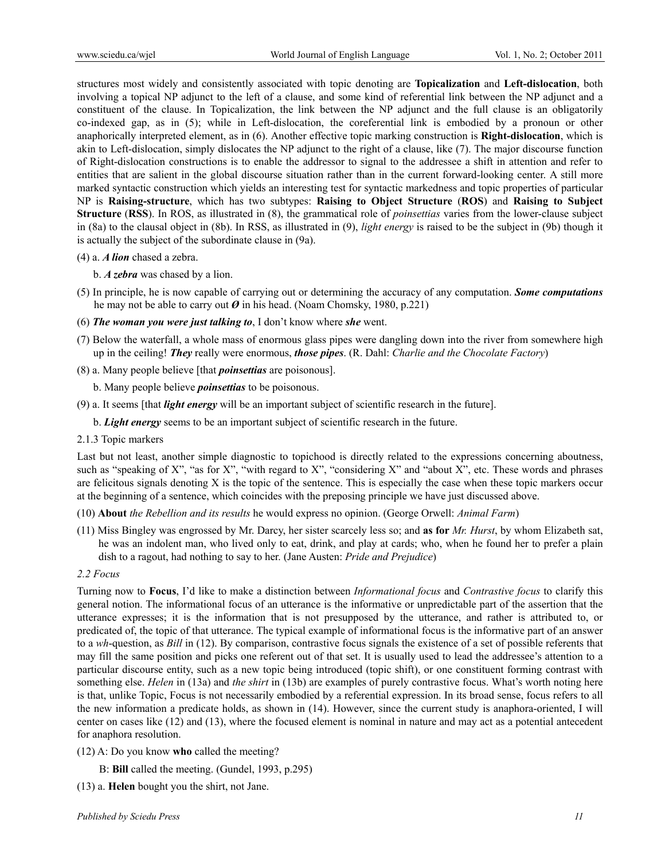structures most widely and consistently associated with topic denoting are **Topicalization** and **Left-dislocation**, both involving a topical NP adjunct to the left of a clause, and some kind of referential link between the NP adjunct and a constituent of the clause. In Topicalization, the link between the NP adjunct and the full clause is an obligatorily co-indexed gap, as in (5); while in Left-dislocation, the coreferential link is embodied by a pronoun or other anaphorically interpreted element, as in (6). Another effective topic marking construction is **Right-dislocation**, which is akin to Left-dislocation, simply dislocates the NP adjunct to the right of a clause, like (7). The major discourse function of Right-dislocation constructions is to enable the addressor to signal to the addressee a shift in attention and refer to entities that are salient in the global discourse situation rather than in the current forward-looking center. A still more marked syntactic construction which yields an interesting test for syntactic markedness and topic properties of particular NP is **Raising-structure**, which has two subtypes: **Raising to Object Structure** (**ROS**) and **Raising to Subject Structure** (**RSS**). In ROS, as illustrated in (8), the grammatical role of *poinsettias* varies from the lower-clause subject in (8a) to the clausal object in (8b). In RSS, as illustrated in (9), *light energy* is raised to be the subject in (9b) though it is actually the subject of the subordinate clause in (9a).

- (4) a. *A lion* chased a zebra.
	- b. *A zebra* was chased by a lion.
- (5) In principle, he is now capable of carrying out or determining the accuracy of any computation. *Some computations* he may not be able to carry out *Ø* in his head. (Noam Chomsky, 1980, p.221)
- (6) *The woman you were just talking to*, I don't know where *she* went.
- (7) Below the waterfall, a whole mass of enormous glass pipes were dangling down into the river from somewhere high up in the ceiling! *They* really were enormous, *those pipes*. (R. Dahl: *Charlie and the Chocolate Factory*)
- (8) a. Many people believe [that *poinsettias* are poisonous].
	- b. Many people believe *poinsettias* to be poisonous.
- (9) a. It seems [that *light energy* will be an important subject of scientific research in the future].
	- b. *Light energy* seems to be an important subject of scientific research in the future.
- 2.1.3 Topic markers

Last but not least, another simple diagnostic to topichood is directly related to the expressions concerning aboutness, such as "speaking of X", "as for X", "with regard to X", "considering X" and "about X", etc. These words and phrases are felicitous signals denoting  $X$  is the topic of the sentence. This is especially the case when these topic markers occur at the beginning of a sentence, which coincides with the preposing principle we have just discussed above.

- (10) **About** *the Rebellion and its results* he would express no opinion. (George Orwell: *Animal Farm*)
- (11) Miss Bingley was engrossed by Mr. Darcy, her sister scarcely less so; and **as for** *Mr. Hurst*, by whom Elizabeth sat, he was an indolent man, who lived only to eat, drink, and play at cards; who, when he found her to prefer a plain dish to a ragout, had nothing to say to her. (Jane Austen: *Pride and Prejudice*)

## *2.2 Focus*

Turning now to **Focus**, I'd like to make a distinction between *Informational focus* and *Contrastive focus* to clarify this general notion. The informational focus of an utterance is the informative or unpredictable part of the assertion that the utterance expresses; it is the information that is not presupposed by the utterance, and rather is attributed to, or predicated of, the topic of that utterance. The typical example of informational focus is the informative part of an answer to a *wh*-question, as *Bill* in (12). By comparison, contrastive focus signals the existence of a set of possible referents that may fill the same position and picks one referent out of that set. It is usually used to lead the addressee's attention to a particular discourse entity, such as a new topic being introduced (topic shift), or one constituent forming contrast with something else. *Helen* in (13a) and *the shirt* in (13b) are examples of purely contrastive focus. What's worth noting here is that, unlike Topic, Focus is not necessarily embodied by a referential expression. In its broad sense, focus refers to all the new information a predicate holds, as shown in (14). However, since the current study is anaphora-oriented, I will center on cases like (12) and (13), where the focused element is nominal in nature and may act as a potential antecedent for anaphora resolution.

- (12) A: Do you know **who** called the meeting?
	- B: **Bill** called the meeting. (Gundel, 1993, p.295)
- (13) a. **Helen** bought you the shirt, not Jane.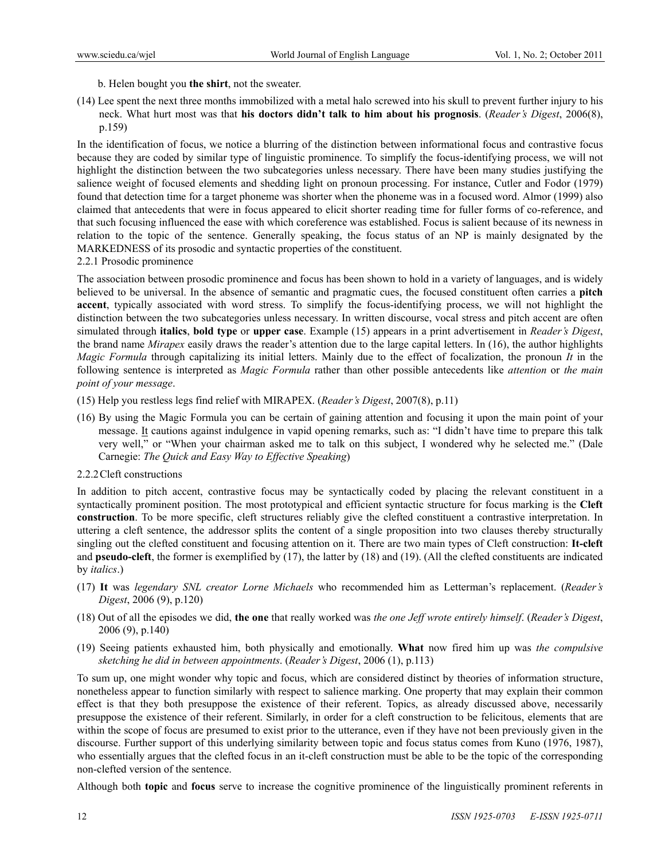- b. Helen bought you **the shirt**, not the sweater.
- (14) Lee spent the next three months immobilized with a metal halo screwed into his skull to prevent further injury to his neck. What hurt most was that **his doctors didn't talk to him about his prognosis**. (*Reader's Digest*, 2006(8), p.159)

In the identification of focus, we notice a blurring of the distinction between informational focus and contrastive focus because they are coded by similar type of linguistic prominence. To simplify the focus-identifying process, we will not highlight the distinction between the two subcategories unless necessary. There have been many studies justifying the salience weight of focused elements and shedding light on pronoun processing. For instance, Cutler and Fodor (1979) found that detection time for a target phoneme was shorter when the phoneme was in a focused word. Almor (1999) also claimed that antecedents that were in focus appeared to elicit shorter reading time for fuller forms of co-reference, and that such focusing influenced the ease with which coreference was established. Focus is salient because of its newness in relation to the topic of the sentence. Generally speaking, the focus status of an NP is mainly designated by the MARKEDNESS of its prosodic and syntactic properties of the constituent.

2.2.1 Prosodic prominence

The association between prosodic prominence and focus has been shown to hold in a variety of languages, and is widely believed to be universal. In the absence of semantic and pragmatic cues, the focused constituent often carries a **pitch accent**, typically associated with word stress. To simplify the focus-identifying process, we will not highlight the distinction between the two subcategories unless necessary. In written discourse, vocal stress and pitch accent are often simulated through **italics**, **bold type** or **upper case**. Example (15) appears in a print advertisement in *Reader's Digest*, the brand name *Mirapex* easily draws the reader's attention due to the large capital letters. In (16), the author highlights *Magic Formula* through capitalizing its initial letters. Mainly due to the effect of focalization, the pronoun *It* in the following sentence is interpreted as *Magic Formula* rather than other possible antecedents like *attention* or *the main point of your message*.

- (15) Help you restless legs find relief with MIRAPEX. (*Reader's Digest*, 2007(8), p.11)
- (16) By using the Magic Formula you can be certain of gaining attention and focusing it upon the main point of your message. It cautions against indulgence in vapid opening remarks, such as: "I didn't have time to prepare this talk very well," or "When your chairman asked me to talk on this subject, I wondered why he selected me." (Dale Carnegie: *The Quick and Easy Way to Effective Speaking*)
- 2.2.2 Cleft constructions

In addition to pitch accent, contrastive focus may be syntactically coded by placing the relevant constituent in a syntactically prominent position. The most prototypical and efficient syntactic structure for focus marking is the **Cleft construction**. To be more specific, cleft structures reliably give the clefted constituent a contrastive interpretation. In uttering a cleft sentence, the addressor splits the content of a single proposition into two clauses thereby structurally singling out the clefted constituent and focusing attention on it. There are two main types of Cleft construction: **It-cleft** and **pseudo-cleft**, the former is exemplified by (17), the latter by (18) and (19). (All the clefted constituents are indicated by *italics*.)

- (17) **It** was *legendary SNL creator Lorne Michaels* who recommended him as Letterman's replacement. (*Reader's Digest*, 2006 (9), p.120)
- (18) Out of all the episodes we did, **the one** that really worked was *the one Jeff wrote entirely himself*. (*Reader's Digest*, 2006 (9), p.140)
- (19) Seeing patients exhausted him, both physically and emotionally. **What** now fired him up was *the compulsive sketching he did in between appointments*. (*Reader's Digest*, 2006 (1), p.113)

To sum up, one might wonder why topic and focus, which are considered distinct by theories of information structure, nonetheless appear to function similarly with respect to salience marking. One property that may explain their common effect is that they both presuppose the existence of their referent. Topics, as already discussed above, necessarily presuppose the existence of their referent. Similarly, in order for a cleft construction to be felicitous, elements that are within the scope of focus are presumed to exist prior to the utterance, even if they have not been previously given in the discourse. Further support of this underlying similarity between topic and focus status comes from Kuno (1976, 1987), who essentially argues that the clefted focus in an it-cleft construction must be able to be the topic of the corresponding non-clefted version of the sentence.

Although both **topic** and **focus** serve to increase the cognitive prominence of the linguistically prominent referents in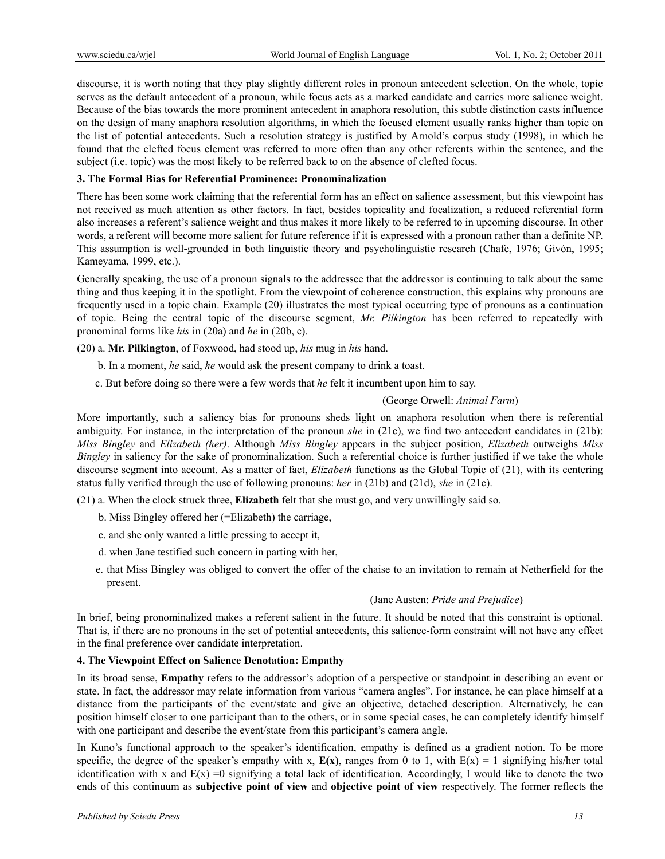discourse, it is worth noting that they play slightly different roles in pronoun antecedent selection. On the whole, topic serves as the default antecedent of a pronoun, while focus acts as a marked candidate and carries more salience weight. Because of the bias towards the more prominent antecedent in anaphora resolution, this subtle distinction casts influence on the design of many anaphora resolution algorithms, in which the focused element usually ranks higher than topic on the list of potential antecedents. Such a resolution strategy is justified by Arnold's corpus study (1998), in which he found that the clefted focus element was referred to more often than any other referents within the sentence, and the subject (i.e. topic) was the most likely to be referred back to on the absence of clefted focus.

## **3. The Formal Bias for Referential Prominence: Pronominalization**

There has been some work claiming that the referential form has an effect on salience assessment, but this viewpoint has not received as much attention as other factors. In fact, besides topicality and focalization, a reduced referential form also increases a referent's salience weight and thus makes it more likely to be referred to in upcoming discourse. In other words, a referent will become more salient for future reference if it is expressed with a pronoun rather than a definite NP. This assumption is well-grounded in both linguistic theory and psycholinguistic research (Chafe, 1976; Givón, 1995; Kameyama, 1999, etc.).

Generally speaking, the use of a pronoun signals to the addressee that the addressor is continuing to talk about the same thing and thus keeping it in the spotlight. From the viewpoint of coherence construction, this explains why pronouns are frequently used in a topic chain. Example (20) illustrates the most typical occurring type of pronouns as a continuation of topic. Being the central topic of the discourse segment, *Mr. Pilkington* has been referred to repeatedly with pronominal forms like *his* in (20a) and *he* in (20b, c).

(20) a. **Mr. Pilkington**, of Foxwood, had stood up, *his* mug in *his* hand.

- b. In a moment, *he* said, *he* would ask the present company to drink a toast.
- c. But before doing so there were a few words that *he* felt it incumbent upon him to say.

## (George Orwell: *Animal Farm*)

More importantly, such a saliency bias for pronouns sheds light on anaphora resolution when there is referential ambiguity. For instance, in the interpretation of the pronoun *she* in (21c), we find two antecedent candidates in (21b): *Miss Bingley* and *Elizabeth (her)*. Although *Miss Bingley* appears in the subject position, *Elizabeth* outweighs *Miss Bingley* in saliency for the sake of pronominalization. Such a referential choice is further justified if we take the whole discourse segment into account. As a matter of fact, *Elizabeth* functions as the Global Topic of (21), with its centering status fully verified through the use of following pronouns: *her* in (21b) and (21d), *she* in (21c).

(21) a. When the clock struck three, **Elizabeth** felt that she must go, and very unwillingly said so.

- b. Miss Bingley offered her (=Elizabeth) the carriage,
- c. and she only wanted a little pressing to accept it,
- d. when Jane testified such concern in parting with her,
- e. that Miss Bingley was obliged to convert the offer of the chaise to an invitation to remain at Netherfield for the present.

## (Jane Austen: *Pride and Prejudice*)

In brief, being pronominalized makes a referent salient in the future. It should be noted that this constraint is optional. That is, if there are no pronouns in the set of potential antecedents, this salience-form constraint will not have any effect in the final preference over candidate interpretation.

## **4. The Viewpoint Effect on Salience Denotation: Empathy**

In its broad sense, **Empathy** refers to the addressor's adoption of a perspective or standpoint in describing an event or state. In fact, the addressor may relate information from various "camera angles". For instance, he can place himself at a distance from the participants of the event/state and give an objective, detached description. Alternatively, he can position himself closer to one participant than to the others, or in some special cases, he can completely identify himself with one participant and describe the event/state from this participant's camera angle.

In Kuno's functional approach to the speaker's identification, empathy is defined as a gradient notion. To be more specific, the degree of the speaker's empathy with x,  $E(x)$ , ranges from 0 to 1, with  $E(x) = 1$  signifying his/her total identification with x and  $E(x) = 0$  signifying a total lack of identification. Accordingly, I would like to denote the two ends of this continuum as **subjective point of view** and **objective point of view** respectively. The former reflects the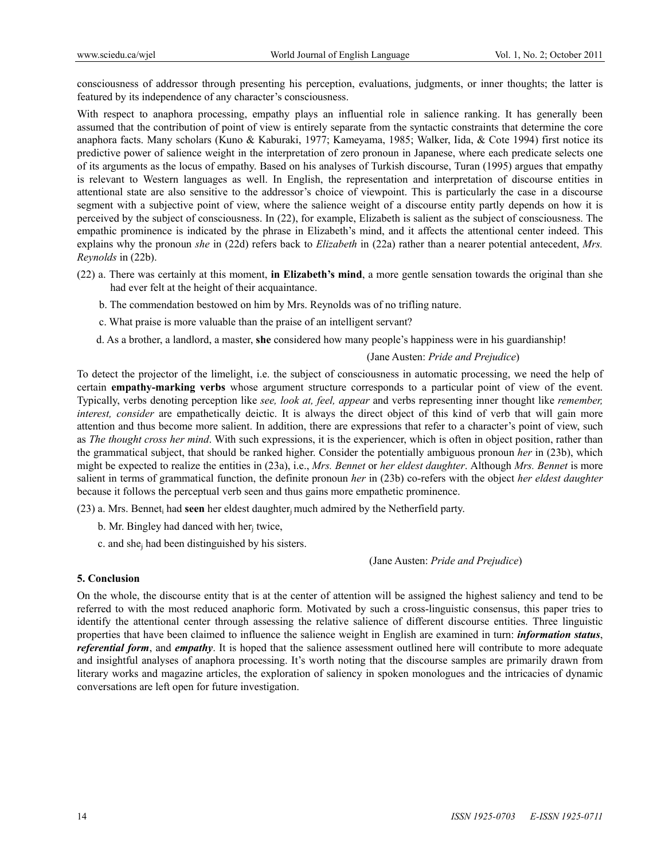consciousness of addressor through presenting his perception, evaluations, judgments, or inner thoughts; the latter is featured by its independence of any character's consciousness.

With respect to anaphora processing, empathy plays an influential role in salience ranking. It has generally been assumed that the contribution of point of view is entirely separate from the syntactic constraints that determine the core anaphora facts. Many scholars (Kuno & Kaburaki, 1977; Kameyama, 1985; Walker, Iida, & Cote 1994) first notice its predictive power of salience weight in the interpretation of zero pronoun in Japanese, where each predicate selects one of its arguments as the locus of empathy. Based on his analyses of Turkish discourse, Turan (1995) argues that empathy is relevant to Western languages as well. In English, the representation and interpretation of discourse entities in attentional state are also sensitive to the addressor's choice of viewpoint. This is particularly the case in a discourse segment with a subjective point of view, where the salience weight of a discourse entity partly depends on how it is perceived by the subject of consciousness. In (22), for example, Elizabeth is salient as the subject of consciousness. The empathic prominence is indicated by the phrase in Elizabeth's mind, and it affects the attentional center indeed. This explains why the pronoun *she* in (22d) refers back to *Elizabeth* in (22a) rather than a nearer potential antecedent, *Mrs. Reynolds* in (22b).

- (22) a. There was certainly at this moment, **in Elizabeth's mind**, a more gentle sensation towards the original than she had ever felt at the height of their acquaintance.
	- b. The commendation bestowed on him by Mrs. Reynolds was of no trifling nature.
	- c. What praise is more valuable than the praise of an intelligent servant?
	- d. As a brother, a landlord, a master, **she** considered how many people's happiness were in his guardianship!

#### (Jane Austen: *Pride and Prejudice*)

To detect the projector of the limelight, i.e. the subject of consciousness in automatic processing, we need the help of certain **empathy-marking verbs** whose argument structure corresponds to a particular point of view of the event. Typically, verbs denoting perception like *see, look at, feel, appear* and verbs representing inner thought like *remember, interest, consider* are empathetically deictic. It is always the direct object of this kind of verb that will gain more attention and thus become more salient. In addition, there are expressions that refer to a character's point of view, such as *The thought cross her mind*. With such expressions, it is the experiencer, which is often in object position, rather than the grammatical subject, that should be ranked higher. Consider the potentially ambiguous pronoun *her* in (23b), which might be expected to realize the entities in (23a), i.e., *Mrs. Bennet* or *her eldest daughter*. Although *Mrs. Bennet* is more salient in terms of grammatical function, the definite pronoun *her* in (23b) co-refers with the object *her eldest daughter*  because it follows the perceptual verb seen and thus gains more empathetic prominence.

(23) a. Mrs. Benneti had **seen** her eldest daughterj much admired by the Netherfield party.

- $b$ . Mr. Bingley had danced with her<sub>i</sub> twice,
- c. and shej had been distinguished by his sisters.

#### (Jane Austen: *Pride and Prejudice*)

#### **5. Conclusion**

On the whole, the discourse entity that is at the center of attention will be assigned the highest saliency and tend to be referred to with the most reduced anaphoric form. Motivated by such a cross-linguistic consensus, this paper tries to identify the attentional center through assessing the relative salience of different discourse entities. Three linguistic properties that have been claimed to influence the salience weight in English are examined in turn: *information status*, *referential form*, and *empathy*. It is hoped that the salience assessment outlined here will contribute to more adequate and insightful analyses of anaphora processing. It's worth noting that the discourse samples are primarily drawn from literary works and magazine articles, the exploration of saliency in spoken monologues and the intricacies of dynamic conversations are left open for future investigation.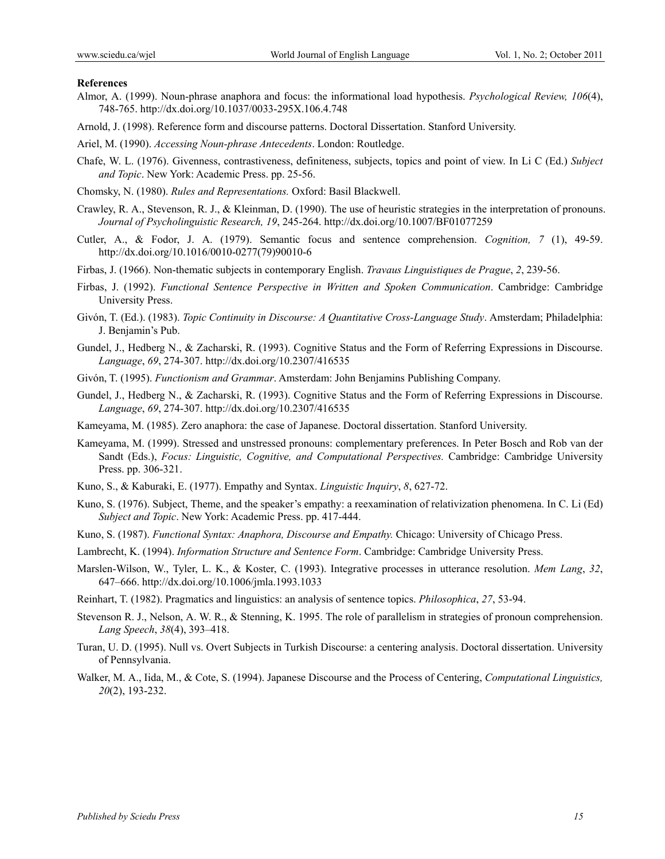#### **References**

- Almor, A. (1999). Noun-phrase anaphora and focus: the informational load hypothesis. *Psychological Review, 106*(4), 748-765. http://dx.doi.org/10.1037/0033-295X.106.4.748
- Arnold, J. (1998). Reference form and discourse patterns. Doctoral Dissertation. Stanford University.
- Ariel, M. (1990). *Accessing Noun-phrase Antecedents*. London: Routledge.
- Chafe, W. L. (1976). Givenness, contrastiveness, definiteness, subjects, topics and point of view. In Li C (Ed.) *Subject and Topic*. New York: Academic Press. pp. 25-56.
- Chomsky, N. (1980). *Rules and Representations.* Oxford: Basil Blackwell.
- Crawley, R. A., Stevenson, R. J., & Kleinman, D. (1990). The use of heuristic strategies in the interpretation of pronouns. *Journal of Psycholinguistic Research, 19*, 245-264. http://dx.doi.org/10.1007/BF01077259
- Cutler, A., & Fodor, J. A. (1979). Semantic focus and sentence comprehension. *Cognition, 7* (1), 49-59. http://dx.doi.org/10.1016/0010-0277(79)90010-6
- Firbas, J. (1966). Non-thematic subjects in contemporary English. *Travaus Linguistiques de Prague*, *2*, 239-56.
- Firbas, J. (1992). *Functional Sentence Perspective in Written and Spoken Communication*. Cambridge: Cambridge University Press.
- Givón, T. (Ed.). (1983). *Topic Continuity in Discourse: A Quantitative Cross-Language Study*. Amsterdam; Philadelphia: J. Benjamin's Pub.
- Gundel, J., Hedberg N., & Zacharski, R. (1993). Cognitive Status and the Form of Referring Expressions in Discourse. *Language*, *69*, 274-307. http://dx.doi.org/10.2307/416535
- Givón, T. (1995). *Functionism and Grammar*. Amsterdam: John Benjamins Publishing Company.
- Gundel, J., Hedberg N., & Zacharski, R. (1993). Cognitive Status and the Form of Referring Expressions in Discourse. *Language*, *69*, 274-307. http://dx.doi.org/10.2307/416535
- Kameyama, M. (1985). Zero anaphora: the case of Japanese. Doctoral dissertation. Stanford University.
- Kameyama, M. (1999). Stressed and unstressed pronouns: complementary preferences. In Peter Bosch and Rob van der Sandt (Eds.), *Focus: Linguistic, Cognitive, and Computational Perspectives.* Cambridge: Cambridge University Press. pp. 306-321.
- Kuno, S., & Kaburaki, E. (1977). Empathy and Syntax. *Linguistic Inquiry*, *8*, 627-72.
- Kuno, S. (1976). Subject, Theme, and the speaker's empathy: a reexamination of relativization phenomena. In C. Li (Ed) *Subject and Topic*. New York: Academic Press. pp. 417-444.
- Kuno, S. (1987). *Functional Syntax: Anaphora, Discourse and Empathy.* Chicago: University of Chicago Press.
- Lambrecht, K. (1994). *Information Structure and Sentence Form*. Cambridge: Cambridge University Press.
- Marslen-Wilson, W., Tyler, L. K., & Koster, C. (1993). Integrative processes in utterance resolution. *Mem Lang*, *32*, 647–666. http://dx.doi.org/10.1006/jmla.1993.1033
- Reinhart, T. (1982). Pragmatics and linguistics: an analysis of sentence topics. *Philosophica*, *27*, 53-94.
- Stevenson R. J., Nelson, A. W. R., & Stenning, K. 1995. The role of parallelism in strategies of pronoun comprehension. *Lang Speech*, *38*(4), 393–418.
- Turan, U. D. (1995). Null vs. Overt Subjects in Turkish Discourse: a centering analysis. Doctoral dissertation. University of Pennsylvania.
- Walker, M. A., Iida, M., & Cote, S. (1994). Japanese Discourse and the Process of Centering, *Computational Linguistics, 20*(2), 193-232.